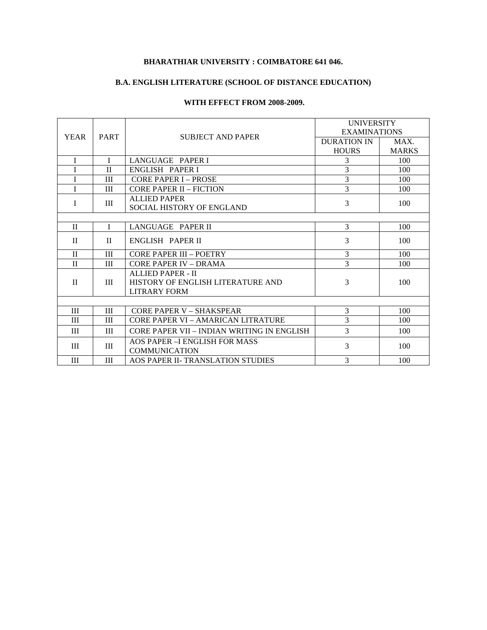#### **BHARATHIAR UNIVERSITY : COIMBATORE 641 046.**

## **B.A. ENGLISH LITERATURE (SCHOOL OF DISTANCE EDUCATION)**

#### **WITH EFFECT FROM 2008-2009.**

| <b>YEAR</b>  | <b>PART</b>  | <b>SUBJECT AND PAPER</b>                   | <b>UNIVERSITY</b>   |              |
|--------------|--------------|--------------------------------------------|---------------------|--------------|
|              |              |                                            | <b>EXAMINATIONS</b> |              |
|              |              |                                            | DURATION IN         | MAX.         |
|              |              |                                            | <b>HOURS</b>        | <b>MARKS</b> |
| T            | $\mathbf{I}$ | LANGUAGE PAPER I                           | 3                   | 100          |
| I            | $\mathbf{I}$ | ENGLISH PAPER I                            | 3                   | 100          |
| I            | Ш            | <b>CORE PAPER I – PROSE</b>                | $\overline{3}$      | 100          |
| T            | Ш            | <b>CORE PAPER II - FICTION</b>             | $\overline{3}$      | 100          |
| T            | III          | <b>ALLIED PAPER</b>                        | 3                   | 100          |
|              |              | SOCIAL HISTORY OF ENGLAND                  |                     |              |
|              |              |                                            |                     |              |
| $\mathbf{I}$ | I            | LANGUAGE PAPER II                          | 3                   | 100          |
| $\mathbf{H}$ | $\mathbf{I}$ | ENGLISH PAPER II                           | 3                   | 100          |
|              |              |                                            |                     |              |
| $\mathbf{I}$ | Ш            | CORE PAPER III - POETRY                    | 3                   | 100          |
| $\mathbf{I}$ | Ш            | CORE PAPER IV - DRAMA                      | 3                   | 100          |
| $\mathbf{H}$ | III          | ALLIED PAPER - II                          | 3                   | 100          |
|              |              | HISTORY OF ENGLISH LITERATURE AND          |                     |              |
|              |              | <b>LITRARY FORM</b>                        |                     |              |
|              |              |                                            |                     |              |
| Ш            | III          | CORE PAPER V – SHAKSPEAR                   | 3                   | 100          |
| III          | Ш            | CORE PAPER VI – AMARICAN LITRATURE         | $\overline{3}$      | 100          |
| Ш            | Ш            | CORE PAPER VII – INDIAN WRITING IN ENGLISH | 3                   | 100          |
| III          | Ш            | <b>AOS PAPER - I ENGLISH FOR MASS</b>      | 3                   | 100          |
|              |              | <b>COMMUNICATION</b>                       |                     |              |
| III          | Ш            | AOS PAPER II- TRANSLATION STUDIES          | 3                   | 100          |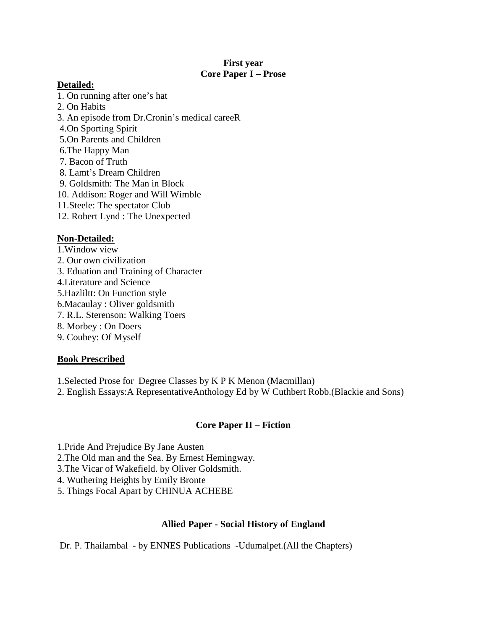## **First year Core Paper I – Prose**

## **Detailed:**

- 1. On running after one's hat
- 2. On Habits
- 3. An episode from Dr.Cronin's medical careeR
- 4.On Sporting Spirit
- 5.On Parents and Children
- 6.The Happy Man
- 7. Bacon of Truth
- 8. Lamt's Dream Children
- 9. Goldsmith: The Man in Block
- 10. Addison: Roger and Will Wimble
- 11.Steele: The spectator Club
- 12. Robert Lynd : The Unexpected

# **Non-Detailed:**

1.Window view 2. Our own civilization 3. Eduation and Training of Character 4.Literature and Science 5.Hazliltt: On Function style 6.Macaulay : Oliver goldsmith 7. R.L. Sterenson: Walking Toers 8. Morbey : On Doers 9. Coubey: Of Myself

## **Book Prescribed**

- 1.Selected Prose for Degree Classes by K P K Menon (Macmillan)
- 2. English Essays:A RepresentativeAnthology Ed by W Cuthbert Robb.(Blackie and Sons)

## **Core Paper II – Fiction**

1.Pride And Prejudice By Jane Austen

- 2.The Old man and the Sea. By Ernest Hemingway.
- 3.The Vicar of Wakefield. by Oliver Goldsmith.
- 4. Wuthering Heights by Emily Bronte
- 5. Things Focal Apart by CHINUA ACHEBE

## **Allied Paper - Social History of England**

Dr. P. Thailambal - by ENNES Publications -Udumalpet.(All the Chapters)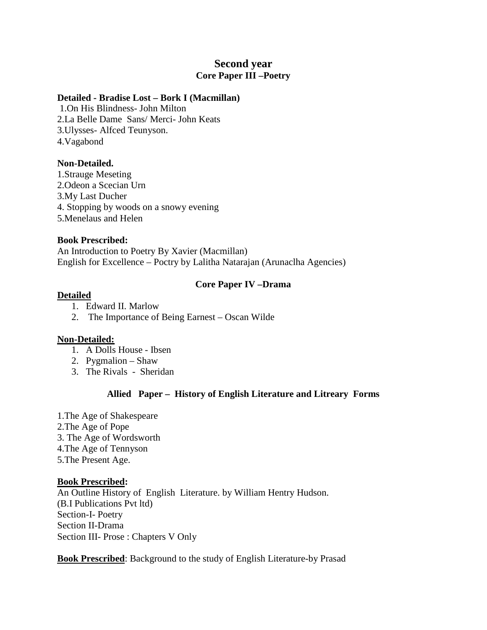# **Second year Core Paper III –Poetry**

#### **Detailed - Bradise Lost – Bork I (Macmillan)**

 1.On His Blindness- John Milton 2.La Belle Dame Sans/ Merci- John Keats 3.Ulysses- Alfced Teunyson. 4.Vagabond

## **Non-Detailed.**

1.Strauge Meseting 2.Odeon a Scecian Urn 3.My Last Ducher 4. Stopping by woods on a snowy evening 5.Menelaus and Helen

#### **Book Prescribed:**

An Introduction to Poetry By Xavier (Macmillan) English for Excellence – Poctry by Lalitha Natarajan (Arunaclha Agencies)

## **Core Paper IV –Drama**

#### **Detailed**

- 1. Edward II. Marlow
- 2. The Importance of Being Earnest Oscan Wilde

## **Non-Detailed:**

- 1. A Dolls House Ibsen
- 2. Pygmalion Shaw
- 3. The Rivals Sheridan

## **Allied Paper – History of English Literature and Litreary Forms**

1.The Age of Shakespeare 2.The Age of Pope 3. The Age of Wordsworth 4.The Age of Tennyson 5.The Present Age.

#### **Book Prescribed:**

An Outline History of English Literature. by William Hentry Hudson. (B.I Publications Pvt ltd) Section-I- Poetry Section II-Drama Section III- Prose : Chapters V Only

**Book Prescribed**: Background to the study of English Literature-by Prasad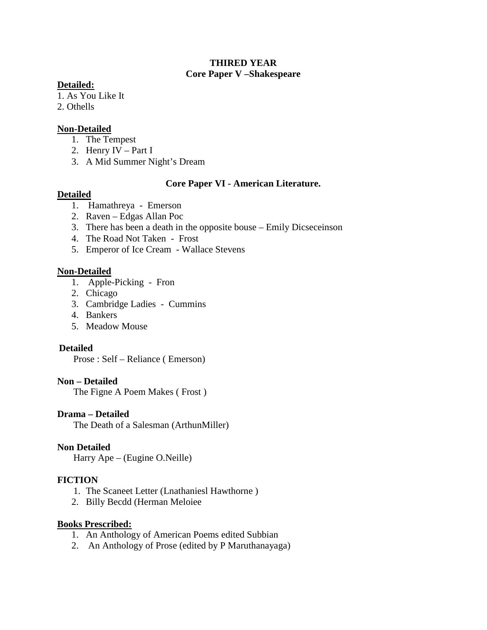## **THIRED YEAR Core Paper V –Shakespeare**

## **Detailed:**

1. As You Like It

2. Othells

## **Non-Detailed**

- 1. The Tempest
- 2. Henry IV Part I
- 3. A Mid Summer Night's Dream

## **Core Paper VI - American Literature.**

## **Detailed**

- 1. Hamathreya Emerson
- 2. Raven Edgas Allan Poc
- 3. There has been a death in the opposite bouse Emily Dicseceinson
- 4. The Road Not Taken Frost
- 5. Emperor of Ice Cream Wallace Stevens

## **Non-Detailed**

- 1. Apple-Picking Fron
- 2. Chicago
- 3. Cambridge Ladies Cummins
- 4. Bankers
- 5. Meadow Mouse

## **Detailed**

Prose : Self – Reliance ( Emerson)

## **Non – Detailed**

The Figne A Poem Makes ( Frost )

## **Drama – Detailed**

The Death of a Salesman (ArthunMiller)

## **Non Detailed**

Harry Ape – (Eugine O.Neille)

## **FICTION**

- 1. The Scaneet Letter (Lnathaniesl Hawthorne )
- 2. Billy Becdd (Herman Meloiee

## **Books Prescribed:**

- 1. An Anthology of American Poems edited Subbian
- 2. An Anthology of Prose (edited by P Maruthanayaga)